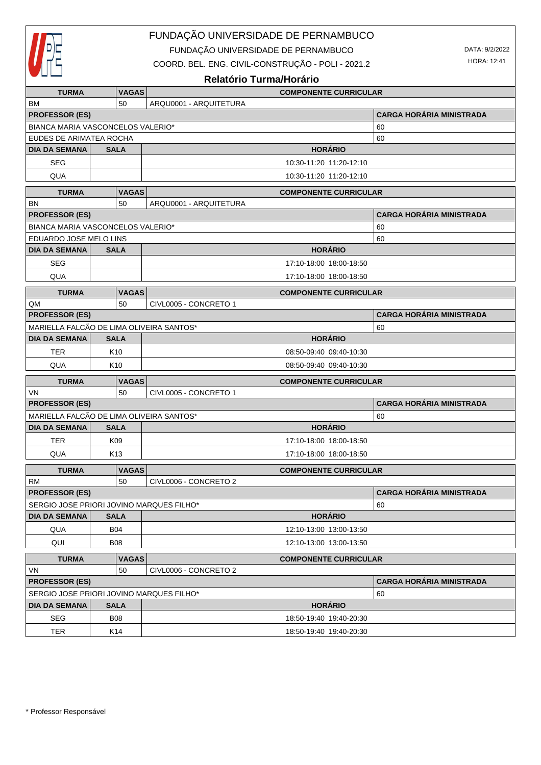

FUNDAÇÃO UNIVERSIDADE DE PERNAMBUCO

COORD. BEL. ENG. CIVIL-CONSTRUÇÃO - POLI - 2021.2

DATA: 9/2/2022 HORA: 12:41

| <b>TURMA</b>                             |                 | <b>VAGAS</b> | <b>COMPONENTE CURRICULAR</b> |                                 |  |
|------------------------------------------|-----------------|--------------|------------------------------|---------------------------------|--|
| <b>BM</b>                                |                 | 50           | ARQU0001 - ARQUITETURA       |                                 |  |
| <b>PROFESSOR (ES)</b>                    |                 |              |                              | <b>CARGA HORÁRIA MINISTRADA</b> |  |
| BIANCA MARIA VASCONCELOS VALERIO*        |                 |              |                              | 60                              |  |
| EUDES DE ARIMATEA ROCHA                  |                 |              |                              | 60                              |  |
| <b>DIA DA SEMANA</b><br><b>SALA</b>      |                 |              | <b>HORÁRIO</b>               |                                 |  |
| <b>SEG</b>                               |                 |              | 10:30-11:20 11:20-12:10      |                                 |  |
| QUA                                      |                 |              | 10:30-11:20 11:20-12:10      |                                 |  |
| <b>TURMA</b>                             | <b>VAGAS</b>    |              | <b>COMPONENTE CURRICULAR</b> |                                 |  |
| <b>BN</b>                                |                 | 50           | ARQU0001 - ARQUITETURA       |                                 |  |
| <b>PROFESSOR (ES)</b>                    |                 |              |                              | <b>CARGA HORÁRIA MINISTRADA</b> |  |
| BIANCA MARIA VASCONCELOS VALERIO*        |                 |              |                              | 60                              |  |
| EDUARDO JOSE MELO LINS                   |                 |              |                              | 60                              |  |
| <b>DIA DA SEMANA</b>                     | <b>SALA</b>     |              | <b>HORÁRIO</b>               |                                 |  |
| <b>SEG</b>                               |                 |              | 17:10-18:00 18:00-18:50      |                                 |  |
| QUA                                      |                 |              | 17:10-18:00 18:00-18:50      |                                 |  |
| <b>TURMA</b>                             |                 | <b>VAGAS</b> | <b>COMPONENTE CURRICULAR</b> |                                 |  |
| QM                                       |                 | 50           | CIVL0005 - CONCRETO 1        |                                 |  |
| <b>PROFESSOR (ES)</b>                    |                 |              |                              | <b>CARGA HORÁRIA MINISTRADA</b> |  |
| MARIELLA FALCÃO DE LIMA OLIVEIRA SANTOS* |                 |              |                              | 60                              |  |
| <b>DIA DA SEMANA</b>                     | <b>SALA</b>     |              | <b>HORÁRIO</b>               |                                 |  |
| TER                                      | K <sub>10</sub> |              | 08:50-09:40 09:40-10:30      |                                 |  |
| QUA                                      | K <sub>10</sub> |              | 08:50-09:40 09:40-10:30      |                                 |  |
| <b>TURMA</b>                             |                 | <b>VAGAS</b> | <b>COMPONENTE CURRICULAR</b> |                                 |  |
| <b>VN</b>                                |                 | 50           | CIVL0005 - CONCRETO 1        |                                 |  |
| <b>PROFESSOR (ES)</b>                    |                 |              |                              | <b>CARGA HORÁRIA MINISTRADA</b> |  |
| MARIELLA FALCÃO DE LIMA OLIVEIRA SANTOS* |                 |              |                              | 60                              |  |
| <b>DIA DA SEMANA</b>                     | <b>SALA</b>     |              | <b>HORÁRIO</b>               |                                 |  |
| TER                                      | K09             |              | 17:10-18:00 18:00-18:50      |                                 |  |
| QUA                                      | K <sub>13</sub> |              | 17:10-18:00 18:00-18:50      |                                 |  |
| <b>TURMA</b>                             |                 | <b>VAGAS</b> | <b>COMPONENTE CURRICULAR</b> |                                 |  |
| <b>RM</b>                                |                 | 50           | CIVL0006 - CONCRETO 2        |                                 |  |
| <b>PROFESSOR (ES)</b>                    |                 |              |                              | <b>CARGA HORÁRIA MINISTRADA</b> |  |
| SERGIO JOSE PRIORI JOVINO MARQUES FILHO* |                 |              |                              | 60                              |  |
| <b>DIA DA SEMANA</b>                     | <b>SALA</b>     |              | <b>HORÁRIO</b>               |                                 |  |
| QUA                                      | <b>B04</b>      |              | 12:10-13:00 13:00-13:50      |                                 |  |
| QUI                                      | <b>B08</b>      |              | 12:10-13:00 13:00-13:50      |                                 |  |
| <b>TURMA</b>                             |                 | <b>VAGAS</b> | <b>COMPONENTE CURRICULAR</b> |                                 |  |
| VN                                       |                 | 50           | CIVL0006 - CONCRETO 2        |                                 |  |
| <b>PROFESSOR (ES)</b>                    |                 |              |                              | <b>CARGA HORÁRIA MINISTRADA</b> |  |
| SERGIO JOSE PRIORI JOVINO MARQUES FILHO* |                 |              |                              | 60                              |  |
| <b>DIA DA SEMANA</b>                     | <b>SALA</b>     |              | <b>HORÁRIO</b>               |                                 |  |
| SEG                                      | <b>B08</b>      |              | 18:50-19:40 19:40-20:30      |                                 |  |
| TER                                      | K14             |              | 18:50-19:40 19:40-20:30      |                                 |  |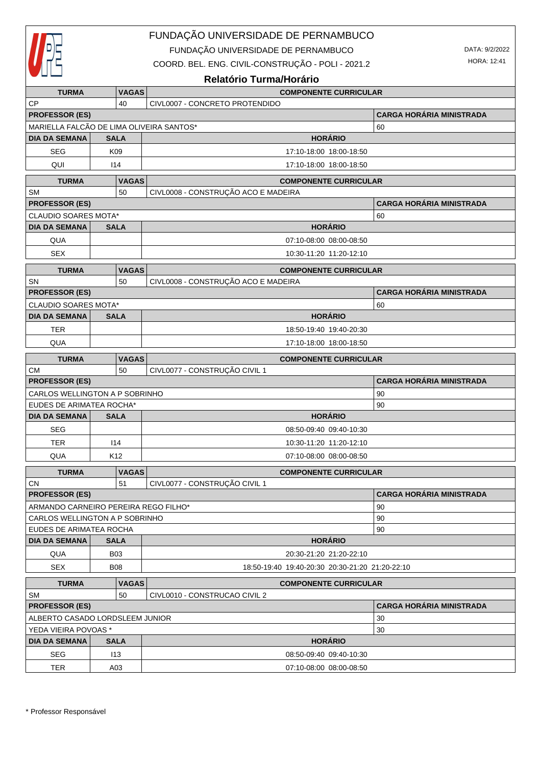

FUNDAÇÃO UNIVERSIDADE DE PERNAMBUCO

COORD. BEL. ENG. CIVIL-CONSTRUÇÃO - POLI - 2021.2

DATA: 9/2/2022 HORA: 12:41

| <b>TURMA</b>                             | <b>VAGAS</b>                                                 |              | <b>COMPONENTE CURRICULAR</b>                    |                                 |  |  |
|------------------------------------------|--------------------------------------------------------------|--------------|-------------------------------------------------|---------------------------------|--|--|
| CP                                       |                                                              | 40           | CIVL0007 - CONCRETO PROTENDIDO                  |                                 |  |  |
| <b>PROFESSOR (ES)</b>                    |                                                              |              |                                                 | <b>CARGA HORÁRIA MINISTRADA</b> |  |  |
| MARIELLA FALCÃO DE LIMA OLIVEIRA SANTOS* |                                                              |              |                                                 | 60                              |  |  |
| <b>DIA DA SEMANA</b>                     | <b>SALA</b>                                                  |              | <b>HORÁRIO</b>                                  |                                 |  |  |
| <b>SEG</b>                               | K09                                                          |              | 17:10-18:00 18:00-18:50                         |                                 |  |  |
| QUI<br>114                               |                                                              |              | 17:10-18:00 18:00-18:50                         |                                 |  |  |
|                                          | <b>TURMA</b><br><b>VAGAS</b><br><b>COMPONENTE CURRICULAR</b> |              |                                                 |                                 |  |  |
| <b>SM</b>                                | 50                                                           |              | CIVL0008 - CONSTRUÇÃO ACO E MADEIRA             |                                 |  |  |
| <b>PROFESSOR (ES)</b>                    |                                                              |              |                                                 | <b>CARGA HORÁRIA MINISTRADA</b> |  |  |
|                                          | CLAUDIO SOARES MOTA*                                         |              |                                                 | 60                              |  |  |
| <b>DIA DA SEMANA</b>                     | <b>SALA</b>                                                  |              | <b>HORÁRIO</b>                                  |                                 |  |  |
| QUA                                      |                                                              |              | 07:10-08:00 08:00-08:50                         |                                 |  |  |
| <b>SEX</b>                               |                                                              |              | 10:30-11:20 11:20-12:10                         |                                 |  |  |
| <b>TURMA</b>                             |                                                              | <b>VAGAS</b> | <b>COMPONENTE CURRICULAR</b>                    |                                 |  |  |
| <b>SN</b>                                |                                                              | 50           | CIVL0008 - CONSTRUÇÃO ACO E MADEIRA             |                                 |  |  |
| <b>PROFESSOR (ES)</b>                    |                                                              |              |                                                 | <b>CARGA HORÁRIA MINISTRADA</b> |  |  |
| CLAUDIO SOARES MOTA*                     |                                                              |              |                                                 | 60                              |  |  |
| <b>DIA DA SEMANA</b>                     | <b>SALA</b>                                                  |              | <b>HORÁRIO</b>                                  |                                 |  |  |
| <b>TER</b>                               |                                                              |              | 18:50-19:40 19:40-20:30                         |                                 |  |  |
| QUA                                      |                                                              |              | 17:10-18:00 18:00-18:50                         |                                 |  |  |
| <b>TURMA</b>                             |                                                              | <b>VAGAS</b> | <b>COMPONENTE CURRICULAR</b>                    |                                 |  |  |
| <b>CM</b>                                |                                                              | 50           | CIVL0077 - CONSTRUÇÃO CIVIL 1                   |                                 |  |  |
| <b>PROFESSOR (ES)</b>                    |                                                              |              |                                                 | <b>CARGA HORÁRIA MINISTRADA</b> |  |  |
| CARLOS WELLINGTON A P SOBRINHO           |                                                              |              |                                                 | 90                              |  |  |
| EUDES DE ARIMATEA ROCHA*                 |                                                              |              |                                                 | 90                              |  |  |
| <b>DIA DA SEMANA</b>                     | <b>SALA</b>                                                  |              | <b>HORÁRIO</b>                                  |                                 |  |  |
| <b>SEG</b>                               |                                                              |              | 08:50-09:40 09:40-10:30                         |                                 |  |  |
| <b>TER</b>                               | 114                                                          |              | 10:30-11:20 11:20-12:10                         |                                 |  |  |
| QUA                                      | K <sub>12</sub>                                              |              | 07:10-08:00 08:00-08:50                         |                                 |  |  |
| <b>TURMA</b>                             |                                                              | <b>VAGAS</b> | <b>COMPONENTE CURRICULAR</b>                    |                                 |  |  |
| CN                                       |                                                              | 51           | CIVL0077 - CONSTRUÇÃO CIVIL 1                   |                                 |  |  |
| <b>PROFESSOR (ES)</b>                    |                                                              |              |                                                 | <b>CARGA HORÁRIA MINISTRADA</b> |  |  |
| ARMANDO CARNEIRO PEREIRA REGO FILHO*     |                                                              |              |                                                 | 90                              |  |  |
| CARLOS WELLINGTON A P SOBRINHO           |                                                              |              |                                                 | 90                              |  |  |
| EUDES DE ARIMATEA ROCHA                  |                                                              |              |                                                 | 90                              |  |  |
| <b>DIA DA SEMANA</b>                     | <b>SALA</b>                                                  |              | <b>HORÁRIO</b>                                  |                                 |  |  |
| QUA                                      | <b>B03</b>                                                   |              | 20:30-21:20 21:20-22:10                         |                                 |  |  |
| <b>SEX</b>                               | <b>B08</b>                                                   |              | 18:50-19:40 19:40-20:30 20:30-21:20 21:20-22:10 |                                 |  |  |
| <b>TURMA</b>                             |                                                              | <b>VAGAS</b> | <b>COMPONENTE CURRICULAR</b>                    |                                 |  |  |
| SM                                       |                                                              | 50           | CIVL0010 - CONSTRUCAO CIVIL 2                   |                                 |  |  |
| <b>PROFESSOR (ES)</b>                    |                                                              |              |                                                 | <b>CARGA HORÁRIA MINISTRADA</b> |  |  |
| ALBERTO CASADO LORDSLEEM JUNIOR          |                                                              |              |                                                 | 30                              |  |  |
| YEDA VIEIRA POVOAS *                     |                                                              |              |                                                 | 30                              |  |  |
| <b>DIA DA SEMANA</b>                     | <b>SALA</b>                                                  |              | <b>HORÁRIO</b>                                  |                                 |  |  |
| <b>SEG</b>                               | 113                                                          |              | 08:50-09:40 09:40-10:30                         |                                 |  |  |
| TER                                      | A03                                                          |              | 07:10-08:00 08:00-08:50                         |                                 |  |  |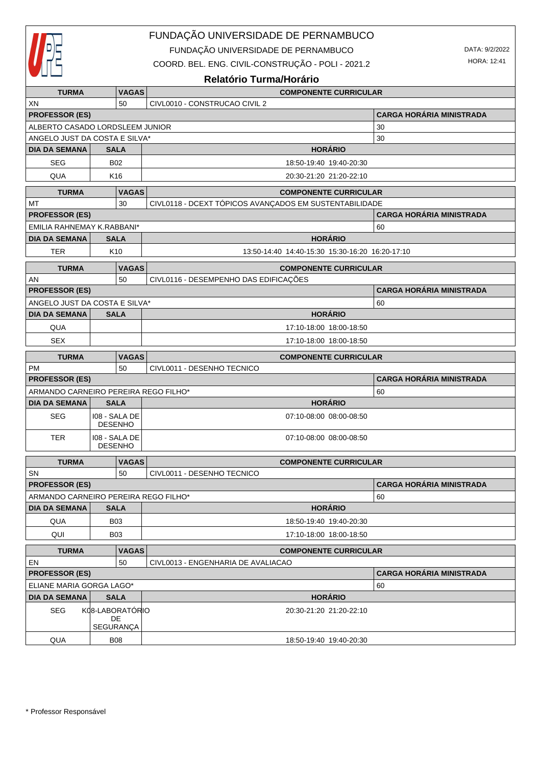

FUNDAÇÃO UNIVERSIDADE DE PERNAMBUCO

COORD. BEL. ENG. CIVIL-CONSTRUÇÃO - POLI - 2021.2

DATA: 9/2/2022 HORA: 12:41

| <b>TURMA</b>                                                 |                                 | <b>VAGAS</b>    | <b>COMPONENTE CURRICULAR</b>                           |                                 |  |
|--------------------------------------------------------------|---------------------------------|-----------------|--------------------------------------------------------|---------------------------------|--|
| XN                                                           |                                 | 50              | CIVL0010 - CONSTRUCAO CIVIL 2                          |                                 |  |
| <b>PROFESSOR (ES)</b>                                        |                                 |                 |                                                        | <b>CARGA HORÁRIA MINISTRADA</b> |  |
| ALBERTO CASADO LORDSLEEM JUNIOR                              |                                 |                 |                                                        | 30                              |  |
| ANGELO JUST DA COSTA E SILVA*                                |                                 |                 |                                                        | 30                              |  |
| <b>DIA DA SEMANA</b><br><b>SALA</b>                          |                                 |                 | <b>HORÁRIO</b>                                         |                                 |  |
| <b>SEG</b>                                                   | <b>B02</b>                      |                 | 18:50-19:40 19:40-20:30                                |                                 |  |
| <b>QUA</b>                                                   | K <sub>16</sub>                 |                 | 20:30-21:20 21:20-22:10                                |                                 |  |
| <b>TURMA</b>                                                 |                                 | <b>VAGAS</b>    | <b>COMPONENTE CURRICULAR</b>                           |                                 |  |
| MT                                                           |                                 | 30              | CIVL0118 - DCEXT TÓPICOS AVANÇADOS EM SUSTENTABILIDADE |                                 |  |
| <b>PROFESSOR (ES)</b>                                        |                                 |                 |                                                        | <b>CARGA HORÁRIA MINISTRADA</b> |  |
| EMILIA RAHNEMAY K.RABBANI*                                   |                                 |                 |                                                        | 60                              |  |
| <b>DIA DA SEMANA</b>                                         | <b>SALA</b>                     |                 | <b>HORÁRIO</b>                                         |                                 |  |
| <b>TER</b>                                                   | K10                             |                 | 13:50-14:40 14:40-15:30 15:30-16:20 16:20-17:10        |                                 |  |
| <b>TURMA</b>                                                 |                                 | <b>VAGAS</b>    | <b>COMPONENTE CURRICULAR</b>                           |                                 |  |
| AN                                                           |                                 | 50              | CIVL0116 - DESEMPENHO DAS EDIFICAÇÕES                  |                                 |  |
| <b>PROFESSOR (ES)</b>                                        |                                 |                 |                                                        | <b>CARGA HORÁRIA MINISTRADA</b> |  |
| ANGELO JUST DA COSTA E SILVA*                                |                                 |                 |                                                        | 60                              |  |
| <b>DIA DA SEMANA</b>                                         | <b>SALA</b>                     |                 | <b>HORÁRIO</b>                                         |                                 |  |
| QUA                                                          |                                 |                 | 17:10-18:00 18:00-18:50                                |                                 |  |
| <b>SEX</b>                                                   |                                 |                 | 17:10-18:00 18:00-18:50                                |                                 |  |
| <b>TURMA</b>                                                 |                                 | <b>VAGAS</b>    | <b>COMPONENTE CURRICULAR</b>                           |                                 |  |
| <b>PM</b>                                                    |                                 | 50              | CIVL0011 - DESENHO TECNICO                             |                                 |  |
| <b>PROFESSOR (ES)</b>                                        |                                 |                 |                                                        | <b>CARGA HORÁRIA MINISTRADA</b> |  |
| ARMANDO CARNEIRO PEREIRA REGO FILHO*                         |                                 |                 |                                                        | 60                              |  |
| <b>DIA DA SEMANA</b>                                         | <b>SALA</b>                     |                 | <b>HORÁRIO</b>                                         |                                 |  |
| <b>SEG</b>                                                   | 108 - SALA DE<br><b>DESENHO</b> |                 | 07:10-08:00 08:00-08:50                                |                                 |  |
| <b>TER</b>                                                   | 108 - SALA DE<br><b>DESENHO</b> |                 | 07:10-08:00 08:00-08:50                                |                                 |  |
|                                                              |                                 |                 |                                                        |                                 |  |
| TURMA                                                        |                                 | <b>VAGAS</b>    | <b>COMPONENTE CURRICULAR</b>                           |                                 |  |
| SN                                                           |                                 | 50              | CIVL0011 - DESENHO TECNICO                             | <b>CARGA HORARIA MINISTRADA</b> |  |
| <b>PROFESSOR (ES)</b>                                        |                                 |                 |                                                        |                                 |  |
| ARMANDO CARNEIRO PEREIRA REGO FILHO*<br><b>DIA DA SEMANA</b> | <b>SALA</b>                     |                 | <b>HORÁRIO</b>                                         | 60                              |  |
|                                                              |                                 |                 |                                                        |                                 |  |
| QUA                                                          | <b>B03</b>                      |                 | 18:50-19:40 19:40-20:30                                |                                 |  |
| QUI                                                          | <b>B03</b>                      |                 | 17:10-18:00 18:00-18:50                                |                                 |  |
| <b>TURMA</b>                                                 |                                 | <b>VAGAS</b>    | <b>COMPONENTE CURRICULAR</b>                           |                                 |  |
| EN                                                           |                                 | 50              | CIVL0013 - ENGENHARIA DE AVALIACAO                     |                                 |  |
| <b>PROFESSOR (ES)</b>                                        |                                 |                 |                                                        | <b>CARGA HORÁRIA MINISTRADA</b> |  |
| ELIANE MARIA GORGA LAGO*                                     |                                 |                 |                                                        | 60                              |  |
| <b>DIA DA SEMANA</b>                                         | <b>SALA</b>                     |                 | <b>HORÁRIO</b>                                         |                                 |  |
| <b>SEG</b>                                                   | DE.<br>SEGURANÇA                | K08-LABORATÓRIO | 20:30-21:20 21:20-22:10                                |                                 |  |
| QUA                                                          | <b>B08</b>                      |                 | 18:50-19:40 19:40-20:30                                |                                 |  |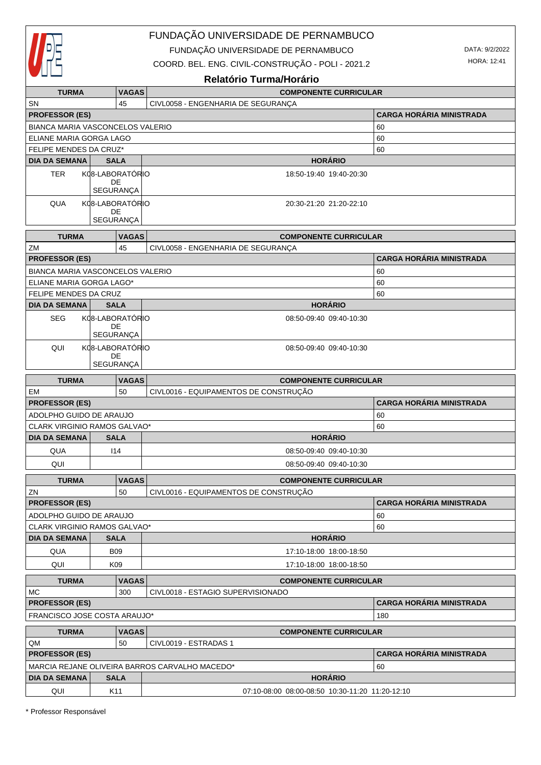

FUNDAÇÃO UNIVERSIDADE DE PERNAMBUCO

COORD. BEL. ENG. CIVIL-CONSTRUÇÃO - POLI - 2021.2

DATA: 9/2/2022 HORA: 12:41

### **Relatório Turma/Horário**

| <b>VAGAS</b><br><b>TURMA</b><br><b>COMPONENTE CURRICULAR</b>                |  |  |  |
|-----------------------------------------------------------------------------|--|--|--|
| SN<br>45<br>CIVL0058 - ENGENHARIA DE SEGURANÇA                              |  |  |  |
| <b>CARGA HORÁRIA MINISTRADA</b><br><b>PROFESSOR (ES)</b>                    |  |  |  |
| BIANCA MARIA VASCONCELOS VALERIO<br>60                                      |  |  |  |
| ELIANE MARIA GORGA LAGO<br>60                                               |  |  |  |
| 60<br>FELIPE MENDES DA CRUZ*                                                |  |  |  |
| <b>HORÁRIO</b><br><b>DIA DA SEMANA</b><br><b>SALA</b>                       |  |  |  |
| <b>TER</b><br>K08-LABORATÓRIO<br>18:50-19:40 19:40-20:30<br>DE<br>SEGURANÇA |  |  |  |
| K08-LABORATÓRIO<br>QUA<br>20:30-21:20 21:20-22:10<br>DE<br>SEGURANÇA        |  |  |  |
| <b>VAGAS</b><br><b>TURMA</b><br><b>COMPONENTE CURRICULAR</b>                |  |  |  |
| ZM<br>45<br>CIVL0058 - ENGENHARIA DE SEGURANÇA                              |  |  |  |
| <b>CARGA HORÁRIA MINISTRADA</b><br><b>PROFESSOR (ES)</b>                    |  |  |  |
| <b>BIANCA MARIA VASCONCELOS VALERIO</b><br>60                               |  |  |  |
| 60<br>ELIANE MARIA GORGA LAGO*                                              |  |  |  |
| FELIPE MENDES DA CRUZ<br>60                                                 |  |  |  |
| <b>HORÁRIO</b><br><b>DIA DA SEMANA</b><br><b>SALA</b>                       |  |  |  |
| K08-LABORATÓRIO<br><b>SEG</b><br>08:50-09:40 09:40-10:30<br>DE              |  |  |  |
| SEGURANÇA                                                                   |  |  |  |
| QUI<br>K08-LABORATÓRIO<br>08:50-09:40 09:40-10:30<br>DE                     |  |  |  |
| SEGURANÇA                                                                   |  |  |  |
| <b>TURMA</b><br><b>VAGAS</b><br><b>COMPONENTE CURRICULAR</b>                |  |  |  |
| 50<br>CIVL0016 - EQUIPAMENTOS DE CONSTRUÇÃO<br>EM                           |  |  |  |
| <b>CARGA HORÁRIA MINISTRADA</b><br><b>PROFESSOR (ES)</b>                    |  |  |  |
| ADOLPHO GUIDO DE ARAUJO<br>60                                               |  |  |  |
| CLARK VIRGINIO RAMOS GALVAO*<br>60                                          |  |  |  |
| <b>HORÁRIO</b><br><b>DIA DA SEMANA</b><br><b>SALA</b>                       |  |  |  |
| QUA<br>114<br>08:50-09:40 09:40-10:30                                       |  |  |  |
| QUI<br>08:50-09:40 09:40-10:30                                              |  |  |  |
| <b>VAGAS</b><br><b>TURMA</b><br><b>COMPONENTE CURRICULAR</b>                |  |  |  |
| ZN<br>50<br>CIVL0016 - EQUIPAMENTOS DE CONSTRUÇÃO                           |  |  |  |
| <b>CARGA HORÁRIA MINISTRADA</b><br><b>PROFESSOR (ES)</b>                    |  |  |  |
| ADOLPHO GUIDO DE ARAUJO<br>60                                               |  |  |  |
| CLARK VIRGINIO RAMOS GALVAO*<br>60                                          |  |  |  |
| <b>HORÁRIO</b><br><b>DIA DA SEMANA</b><br><b>SALA</b>                       |  |  |  |
| QUA<br><b>B09</b><br>17:10-18:00 18:00-18:50                                |  |  |  |
| QUI<br>K09<br>17:10-18:00 18:00-18:50                                       |  |  |  |
| <b>TURMA</b><br><b>VAGAS</b><br><b>COMPONENTE CURRICULAR</b>                |  |  |  |
| <b>MC</b><br>300<br>CIVL0018 - ESTAGIO SUPERVISIONADO                       |  |  |  |
| <b>CARGA HORÁRIA MINISTRADA</b><br><b>PROFESSOR (ES)</b>                    |  |  |  |
| FRANCISCO JOSE COSTA ARAUJO*<br>180                                         |  |  |  |
| <b>TURMA</b><br><b>VAGAS</b><br><b>COMPONENTE CURRICULAR</b>                |  |  |  |
| 50<br>QM<br>CIVL0019 - ESTRADAS 1                                           |  |  |  |
| <b>CARGA HORÁRIA MINISTRADA</b><br><b>PROFESSOR (ES)</b>                    |  |  |  |
| MARCIA REJANE OLIVEIRA BARROS CARVALHO MACEDO*<br>60                        |  |  |  |
| <b>HORÁRIO</b><br><b>DIA DA SEMANA</b><br><b>SALA</b>                       |  |  |  |
| QUI<br>K11<br>07:10-08:00 08:00-08:50 10:30-11:20 11:20-12:10               |  |  |  |

\* Professor Responsável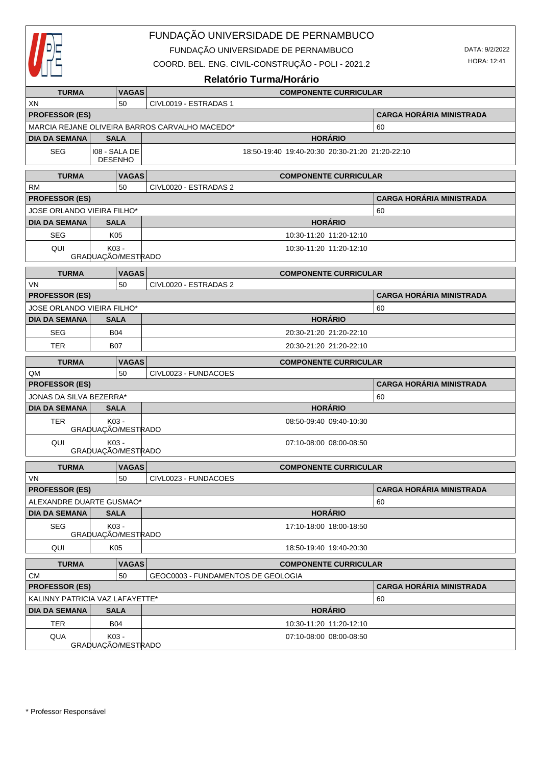

FUNDAÇÃO UNIVERSIDADE DE PERNAMBUCO

COORD. BEL. ENG. CIVIL-CONSTRUÇÃO - POLI - 2021.2

DATA: 9/2/2022 HORA: 12:41

| <b>TURMA</b>                                     | <b>VAGAS</b>                    |  | <b>COMPONENTE CURRICULAR</b>                         |                                 |  |
|--------------------------------------------------|---------------------------------|--|------------------------------------------------------|---------------------------------|--|
| XN                                               | 50                              |  | CIVL0019 - ESTRADAS 1                                |                                 |  |
| <b>PROFESSOR (ES)</b>                            |                                 |  |                                                      | <b>CARGA HORÁRIA MINISTRADA</b> |  |
|                                                  |                                 |  | MARCIA REJANE OLIVEIRA BARROS CARVALHO MACEDO*       | 60                              |  |
| <b>DIA DA SEMANA</b>                             | <b>SALA</b>                     |  | <b>HORÁRIO</b>                                       |                                 |  |
| <b>SEG</b>                                       | 108 - SALA DE<br><b>DESENHO</b> |  | 18:50-19:40 19:40-20:30 20:30-21:20 21:20-22:10      |                                 |  |
| <b>TURMA</b><br><b>VAGAS</b>                     |                                 |  | <b>COMPONENTE CURRICULAR</b>                         |                                 |  |
| <b>RM</b>                                        | 50                              |  | CIVL0020 - ESTRADAS 2                                |                                 |  |
| <b>PROFESSOR (ES)</b>                            |                                 |  |                                                      | <b>CARGA HORÁRIA MINISTRADA</b> |  |
|                                                  | JOSE ORLANDO VIEIRA FILHO*      |  |                                                      | 60                              |  |
| <b>DIA DA SEMANA</b>                             | <b>SALA</b>                     |  | <b>HORÁRIO</b>                                       |                                 |  |
| <b>SEG</b>                                       | K05                             |  | 10:30-11:20 11:20-12:10                              |                                 |  |
| QUI                                              | K03 -<br>GRADUAÇÃO/MESTRADO     |  | 10:30-11:20 11:20-12:10                              |                                 |  |
| <b>TURMA</b>                                     | <b>VAGAS</b>                    |  | <b>COMPONENTE CURRICULAR</b>                         |                                 |  |
| VN                                               | 50                              |  | CIVL0020 - ESTRADAS 2                                |                                 |  |
| <b>PROFESSOR (ES)</b>                            |                                 |  |                                                      | <b>CARGA HORÁRIA MINISTRADA</b> |  |
| JOSE ORLANDO VIEIRA FILHO*                       |                                 |  |                                                      | 60                              |  |
| <b>DIA DA SEMANA</b>                             | <b>SALA</b>                     |  | <b>HORÁRIO</b>                                       |                                 |  |
| <b>SEG</b>                                       | <b>B04</b>                      |  | 20:30-21:20 21:20-22:10                              |                                 |  |
| <b>TER</b>                                       | <b>B07</b>                      |  | 20:30-21:20 21:20-22:10                              |                                 |  |
| <b>TURMA</b>                                     | <b>VAGAS</b>                    |  | <b>COMPONENTE CURRICULAR</b>                         |                                 |  |
| QM                                               | 50                              |  | CIVL0023 - FUNDACOES                                 |                                 |  |
| <b>PROFESSOR (ES)</b>                            |                                 |  |                                                      | <b>CARGA HORÁRIA MINISTRADA</b> |  |
| JONAS DA SILVA BEZERRA*                          |                                 |  |                                                      | 60                              |  |
| <b>DIA DA SEMANA</b>                             | <b>SALA</b>                     |  | <b>HORÁRIO</b>                                       |                                 |  |
| <b>TER</b>                                       | K03 -<br>GRADUAÇÃO/MESTRADO     |  | 08:50-09:40 09:40-10:30                              |                                 |  |
| QUI                                              | K03 -                           |  |                                                      |                                 |  |
|                                                  | GRADUAÇÃO/MESTRADO              |  | 07:10-08:00 08:00-08:50                              |                                 |  |
|                                                  |                                 |  |                                                      |                                 |  |
| <b>TURMA</b>                                     | <b>VAGAS</b>                    |  | <b>COMPONENTE CURRICULAR</b><br>CIVL0023 - FUNDACOES |                                 |  |
| VN                                               | 50                              |  |                                                      | <b>CARGA HORARIA MINISTRADA</b> |  |
| <b>PROFESSOR (ES)</b>                            |                                 |  |                                                      |                                 |  |
| ALEXANDRE DUARTE GUSMAO*<br><b>DIA DA SEMANA</b> | <b>SALA</b>                     |  |                                                      | 60                              |  |
| SEG                                              | K03 -<br>GRADUAÇÃO/MESTRADO     |  | <b>HORÁRIO</b><br>17:10-18:00 18:00-18:50            |                                 |  |
| QUI                                              | K05                             |  | 18:50-19:40 19:40-20:30                              |                                 |  |
|                                                  |                                 |  |                                                      |                                 |  |
| <b>TURMA</b>                                     | <b>VAGAS</b>                    |  | <b>COMPONENTE CURRICULAR</b>                         |                                 |  |
| <b>CM</b>                                        | 50                              |  | GEOC0003 - FUNDAMENTOS DE GEOLOGIA                   |                                 |  |
| <b>PROFESSOR (ES)</b>                            |                                 |  |                                                      | <b>CARGA HORÁRIA MINISTRADA</b> |  |
| KALINNY PATRICIA VAZ LAFAYETTE*                  |                                 |  |                                                      | 60                              |  |
| <b>DIA DA SEMANA</b>                             | <b>SALA</b>                     |  | <b>HORÁRIO</b>                                       |                                 |  |
| TER<br>QUA                                       | <b>B04</b><br>K03 -             |  | 10:30-11:20 11:20-12:10<br>07:10-08:00 08:00-08:50   |                                 |  |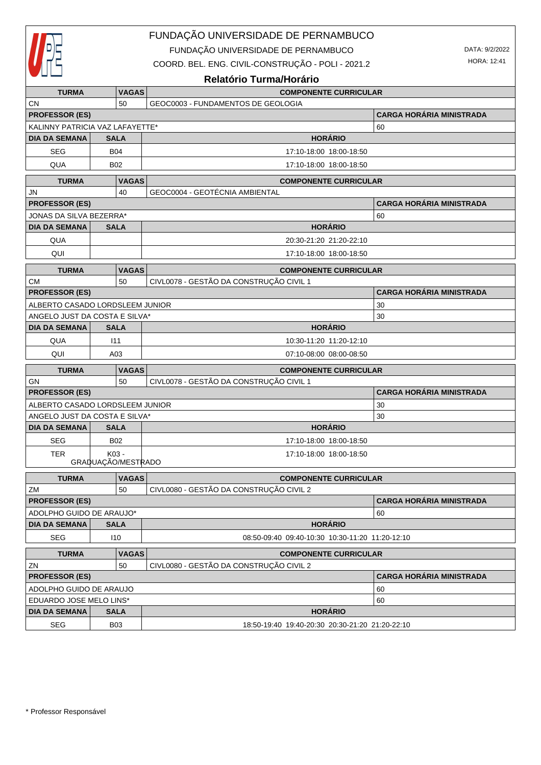

FUNDAÇÃO UNIVERSIDADE DE PERNAMBUCO

COORD. BEL. ENG. CIVIL-CONSTRUÇÃO - POLI - 2021.2

DATA: 9/2/2022 HORA: 12:41

| <b>TURMA</b>                    |                                 | <b>VAGAS</b>                | <b>COMPONENTE CURRICULAR</b>                                            |                                 |  |  |
|---------------------------------|---------------------------------|-----------------------------|-------------------------------------------------------------------------|---------------------------------|--|--|
| CN                              |                                 | 50                          | GEOC0003 - FUNDAMENTOS DE GEOLOGIA                                      |                                 |  |  |
| <b>PROFESSOR (ES)</b>           |                                 |                             |                                                                         | <b>CARGA HORÁRIA MINISTRADA</b> |  |  |
| KALINNY PATRICIA VAZ LAFAYETTE* |                                 |                             |                                                                         | 60                              |  |  |
| <b>DIA DA SEMANA</b>            |                                 | <b>SALA</b>                 | <b>HORÁRIO</b>                                                          |                                 |  |  |
| <b>SEG</b><br><b>B04</b>        |                                 |                             | 17:10-18:00 18:00-18:50                                                 |                                 |  |  |
| QUA<br><b>B02</b>               |                                 |                             | 17:10-18:00 18:00-18:50                                                 |                                 |  |  |
| <b>TURMA</b>                    | <b>VAGAS</b>                    |                             |                                                                         | <b>COMPONENTE CURRICULAR</b>    |  |  |
| JN                              | 40                              |                             | GEOC0004 - GEOTÉCNIA AMBIENTAL                                          |                                 |  |  |
|                                 | <b>PROFESSOR (ES)</b>           |                             |                                                                         | <b>CARGA HORÁRIA MINISTRADA</b> |  |  |
| JONAS DA SILVA BEZERRA*         |                                 |                             |                                                                         | 60                              |  |  |
| <b>DIA DA SEMANA</b>            |                                 | <b>SALA</b>                 | <b>HORÁRIO</b>                                                          |                                 |  |  |
| QUA                             |                                 |                             | 20:30-21:20 21:20-22:10                                                 |                                 |  |  |
| QUI                             |                                 |                             | 17:10-18:00 18:00-18:50                                                 |                                 |  |  |
| <b>TURMA</b>                    |                                 | <b>VAGAS</b>                | <b>COMPONENTE CURRICULAR</b>                                            |                                 |  |  |
| <b>CM</b>                       |                                 | 50                          | CIVL0078 - GESTÃO DA CONSTRUÇÃO CIVIL 1                                 |                                 |  |  |
| <b>PROFESSOR (ES)</b>           |                                 |                             |                                                                         | <b>CARGA HORÁRIA MINISTRADA</b> |  |  |
|                                 | ALBERTO CASADO LORDSLEEM JUNIOR |                             |                                                                         | 30                              |  |  |
|                                 | ANGELO JUST DA COSTA E SILVA*   |                             |                                                                         | 30                              |  |  |
| <b>DIA DA SEMANA</b>            | <b>SALA</b>                     |                             | <b>HORÁRIO</b>                                                          |                                 |  |  |
| QUA                             |                                 | 111                         | 10:30-11:20 11:20-12:10                                                 |                                 |  |  |
| QUI                             |                                 | A03                         | 07:10-08:00 08:00-08:50                                                 |                                 |  |  |
| <b>TURMA</b>                    |                                 | <b>VAGAS</b>                | <b>COMPONENTE CURRICULAR</b>                                            |                                 |  |  |
| GN                              |                                 | 50                          | CIVL0078 - GESTÃO DA CONSTRUÇÃO CIVIL 1                                 |                                 |  |  |
| <b>PROFESSOR (ES)</b>           |                                 |                             |                                                                         | <b>CARGA HORÁRIA MINISTRADA</b> |  |  |
| ALBERTO CASADO LORDSLEEM JUNIOR |                                 |                             |                                                                         | 30                              |  |  |
| ANGELO JUST DA COSTA E SILVA*   |                                 |                             | 30                                                                      |                                 |  |  |
| <b>DIA DA SEMANA</b>            |                                 | <b>SALA</b>                 | <b>HORÁRIO</b>                                                          |                                 |  |  |
| <b>SEG</b>                      |                                 | <b>B02</b>                  | 17:10-18:00 18:00-18:50                                                 |                                 |  |  |
| <b>TER</b>                      |                                 | K03 -<br>GRADUAÇÃO/MESTRADO | 17:10-18:00 18:00-18:50                                                 |                                 |  |  |
|                                 |                                 |                             |                                                                         |                                 |  |  |
| <b>TURMA</b><br>ΖM              |                                 | <b>VAGAS</b><br>50          | <b>COMPONENTE CURRICULAR</b><br>CIVL0080 - GESTÃO DA CONSTRUÇÃO CIVIL 2 |                                 |  |  |
| <b>PROFESSOR (ES)</b>           |                                 |                             |                                                                         | <b>CARGA HORÁRIA MINISTRADA</b> |  |  |
| ADOLPHO GUIDO DE ARAUJO*        |                                 |                             |                                                                         | 60                              |  |  |
| <b>DIA DA SEMANA</b>            |                                 | <b>SALA</b>                 | <b>HORÁRIO</b>                                                          |                                 |  |  |
| <b>SEG</b>                      |                                 | 110                         | 08:50-09:40 09:40-10:30 10:30-11:20 11:20-12:10                         |                                 |  |  |
| <b>TURMA</b>                    |                                 | <b>VAGAS</b>                | <b>COMPONENTE CURRICULAR</b>                                            |                                 |  |  |
| ZN                              |                                 | 50                          | CIVL0080 - GESTÃO DA CONSTRUÇÃO CIVIL 2                                 |                                 |  |  |
| <b>PROFESSOR (ES)</b>           |                                 |                             |                                                                         | <b>CARGA HORÁRIA MINISTRADA</b> |  |  |
| ADOLPHO GUIDO DE ARAUJO         |                                 |                             |                                                                         | 60                              |  |  |
| EDUARDO JOSE MELO LINS*         |                                 |                             |                                                                         | 60                              |  |  |
| <b>DIA DA SEMANA</b>            |                                 | <b>SALA</b>                 | <b>HORÁRIO</b>                                                          |                                 |  |  |
| SEG                             |                                 | <b>B03</b>                  | 18:50-19:40 19:40-20:30 20:30-21:20 21:20-22:10                         |                                 |  |  |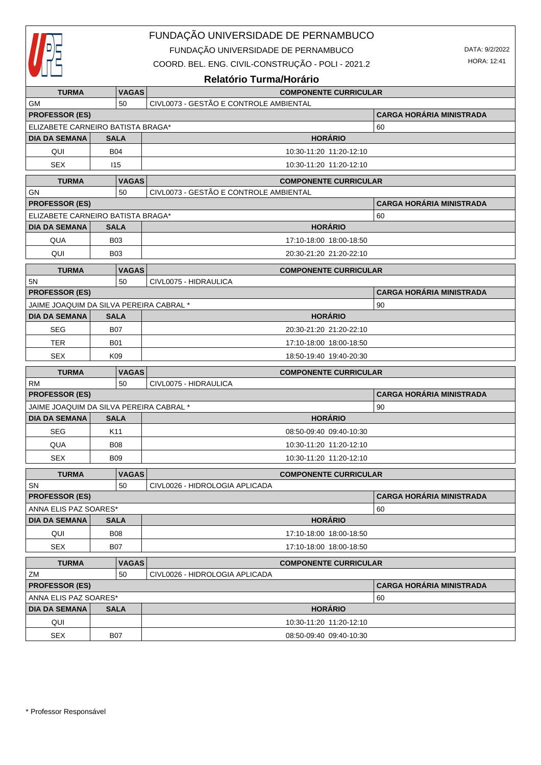

FUNDAÇÃO UNIVERSIDADE DE PERNAMBUCO

COORD. BEL. ENG. CIVIL-CONSTRUÇÃO - POLI - 2021.2

DATA: 9/2/2022 HORA: 12:41

| <b>TURMA</b>                            | <b>VAGAS</b>                      |              | <b>COMPONENTE CURRICULAR</b>           |                                 |  |  |
|-----------------------------------------|-----------------------------------|--------------|----------------------------------------|---------------------------------|--|--|
| <b>GM</b>                               |                                   | 50           | CIVL0073 - GESTÃO E CONTROLE AMBIENTAL |                                 |  |  |
| <b>PROFESSOR (ES)</b>                   |                                   |              |                                        | <b>CARGA HORÁRIA MINISTRADA</b> |  |  |
| ELIZABETE CARNEIRO BATISTA BRAGA*       |                                   |              |                                        | 60                              |  |  |
| <b>DIA DA SEMANA</b>                    | <b>SALA</b>                       |              | <b>HORÁRIO</b>                         |                                 |  |  |
| QUI                                     | <b>B04</b>                        |              | 10:30-11:20 11:20-12:10                |                                 |  |  |
| <b>SEX</b>                              | 115                               |              | 10:30-11:20 11:20-12:10                |                                 |  |  |
| <b>TURMA</b>                            | <b>VAGAS</b>                      |              |                                        | <b>COMPONENTE CURRICULAR</b>    |  |  |
| GN                                      |                                   | 50           | CIVL0073 - GESTÃO E CONTROLE AMBIENTAL |                                 |  |  |
| <b>PROFESSOR (ES)</b>                   |                                   |              |                                        | <b>CARGA HORÁRIA MINISTRADA</b> |  |  |
|                                         | ELIZABETE CARNEIRO BATISTA BRAGA* |              |                                        | 60                              |  |  |
| <b>DIA DA SEMANA</b>                    | <b>SALA</b>                       |              | <b>HORÁRIO</b>                         |                                 |  |  |
| QUA                                     | <b>B03</b>                        |              | 17:10-18:00 18:00-18:50                |                                 |  |  |
| QUI                                     | <b>B03</b>                        |              | 20:30-21:20 21:20-22:10                |                                 |  |  |
| <b>TURMA</b>                            |                                   | <b>VAGAS</b> | <b>COMPONENTE CURRICULAR</b>           |                                 |  |  |
| 5N                                      |                                   | 50           | CIVL0075 - HIDRAULICA                  |                                 |  |  |
| <b>PROFESSOR (ES)</b>                   |                                   |              |                                        | <b>CARGA HORÁRIA MINISTRADA</b> |  |  |
| JAIME JOAQUIM DA SILVA PEREIRA CABRAL * |                                   |              |                                        | 90                              |  |  |
| <b>DIA DA SEMANA</b>                    | <b>SALA</b>                       |              | <b>HORÁRIO</b>                         |                                 |  |  |
| <b>SEG</b>                              | <b>B07</b>                        |              | 20:30-21:20 21:20-22:10                |                                 |  |  |
| TER                                     | <b>B01</b>                        |              | 17:10-18:00 18:00-18:50                |                                 |  |  |
| <b>SEX</b>                              | K09                               |              | 18:50-19:40 19:40-20:30                |                                 |  |  |
|                                         |                                   |              |                                        | <b>COMPONENTE CURRICULAR</b>    |  |  |
| <b>TURMA</b>                            |                                   | <b>VAGAS</b> |                                        |                                 |  |  |
| <b>RM</b>                               |                                   | 50           | CIVL0075 - HIDRAULICA                  |                                 |  |  |
| <b>PROFESSOR (ES)</b>                   |                                   |              |                                        | <b>CARGA HORÁRIA MINISTRADA</b> |  |  |
| JAIME JOAQUIM DA SILVA PEREIRA CABRAL * |                                   |              |                                        | 90                              |  |  |
| <b>DIA DA SEMANA</b>                    | <b>SALA</b>                       |              | <b>HORÁRIO</b>                         |                                 |  |  |
| <b>SEG</b>                              | K11                               |              | 08:50-09:40 09:40-10:30                |                                 |  |  |
| QUA                                     | <b>B08</b>                        |              | 10:30-11:20 11:20-12:10                |                                 |  |  |
| <b>SEX</b>                              | <b>B09</b>                        |              | 10:30-11:20 11:20-12:10                |                                 |  |  |
| <b>TURMA</b>                            |                                   | <b>VAGAS</b> | <b>COMPONENTE CURRICULAR</b>           |                                 |  |  |
| SN                                      |                                   | 50           | CIVL0026 - HIDROLOGIA APLICADA         |                                 |  |  |
| <b>PROFESSOR (ES)</b>                   |                                   |              |                                        | <b>CARGA HORÁRIA MINISTRADA</b> |  |  |
| ANNA ELIS PAZ SOARES*                   |                                   |              |                                        | 60                              |  |  |
| <b>DIA DA SEMANA</b>                    | <b>SALA</b>                       |              | <b>HORÁRIO</b>                         |                                 |  |  |
| QUI                                     | <b>B08</b>                        |              | 17:10-18:00 18:00-18:50                |                                 |  |  |
| <b>SEX</b>                              | <b>B07</b>                        |              | 17:10-18:00 18:00-18:50                |                                 |  |  |
| <b>TURMA</b>                            |                                   | <b>VAGAS</b> | <b>COMPONENTE CURRICULAR</b>           |                                 |  |  |
| ZM                                      |                                   | 50           | CIVL0026 - HIDROLOGIA APLICADA         |                                 |  |  |
| <b>PROFESSOR (ES)</b>                   |                                   |              |                                        | <b>CARGA HORÁRIA MINISTRADA</b> |  |  |
| ANNA ELIS PAZ SOARES*                   |                                   |              |                                        | 60                              |  |  |
| <b>DIA DA SEMANA</b>                    | <b>SALA</b>                       |              | <b>HORÁRIO</b>                         |                                 |  |  |
| QUI                                     |                                   |              | 10:30-11:20 11:20-12:10                |                                 |  |  |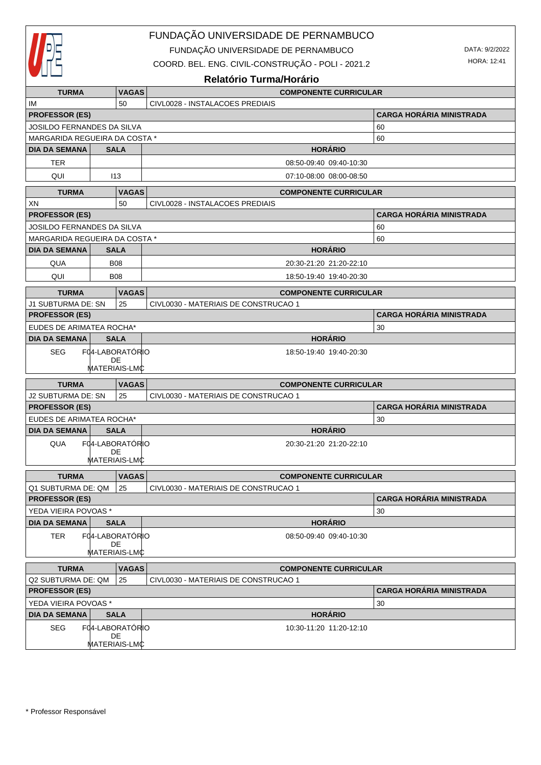

FUNDAÇÃO UNIVERSIDADE DE PERNAMBUCO

COORD. BEL. ENG. CIVIL-CONSTRUÇÃO - POLI - 2021.2

DATA: 9/2/2022 HORA: 12:41

| <b>TURMA</b>                  |                       | <b>VAGAS</b> | <b>COMPONENTE CURRICULAR</b>         |                                 |  |
|-------------------------------|-----------------------|--------------|--------------------------------------|---------------------------------|--|
| IM                            |                       | 50           | CIVL0028 - INSTALACOES PREDIAIS      |                                 |  |
| <b>PROFESSOR (ES)</b>         |                       |              |                                      | <b>CARGA HORÁRIA MINISTRADA</b> |  |
| JOSILDO FERNANDES DA SILVA    |                       |              |                                      | 60                              |  |
| MARGARIDA REGUEIRA DA COSTA * |                       |              |                                      | 60                              |  |
| <b>DIA DA SEMANA</b>          | <b>SALA</b>           |              | <b>HORÁRIO</b>                       |                                 |  |
| TER                           |                       |              | 08:50-09:40 09:40-10:30              |                                 |  |
| QUI                           | 113                   |              | 07:10-08:00 08:00-08:50              |                                 |  |
| <b>TURMA</b>                  |                       | <b>VAGAS</b> | <b>COMPONENTE CURRICULAR</b>         |                                 |  |
| XN                            |                       | 50           | CIVL0028 - INSTALACOES PREDIAIS      |                                 |  |
| <b>PROFESSOR (ES)</b>         |                       |              |                                      | <b>CARGA HORÁRIA MINISTRADA</b> |  |
| JOSILDO FERNANDES DA SILVA    |                       |              |                                      | 60                              |  |
| MARGARIDA REGUEIRA DA COSTA * |                       |              |                                      | 60                              |  |
| <b>DIA DA SEMANA</b>          | <b>SALA</b>           |              | <b>HORÁRIO</b>                       |                                 |  |
| QUA                           | <b>B08</b>            |              | 20:30-21:20 21:20-22:10              |                                 |  |
| QUI                           | <b>B08</b>            |              | 18:50-19:40 19:40-20:30              |                                 |  |
| <b>TURMA</b>                  |                       | <b>VAGAS</b> | <b>COMPONENTE CURRICULAR</b>         |                                 |  |
| J1 SUBTURMA DE: SN            |                       | 25           | CIVL0030 - MATERIAIS DE CONSTRUCAO 1 |                                 |  |
| <b>PROFESSOR (ES)</b>         |                       |              |                                      | <b>CARGA HORÁRIA MINISTRADA</b> |  |
| EUDES DE ARIMATEA ROCHA*      |                       |              |                                      | 30                              |  |
| <b>DIA DA SEMANA</b>          | <b>SALA</b>           |              | <b>HORÁRIO</b>                       |                                 |  |
| <b>SEG</b>                    | F04-LABORATÓRIO       |              | 18:50-19:40 19:40-20:30              |                                 |  |
|                               | DE.                   |              |                                      |                                 |  |
|                               | <b>MATERIAIS-LMC</b>  |              |                                      |                                 |  |
| <b>TURMA</b>                  |                       |              |                                      |                                 |  |
|                               |                       | <b>VAGAS</b> | <b>COMPONENTE CURRICULAR</b>         |                                 |  |
| J2 SUBTURMA DE: SN            |                       | 25           | CIVL0030 - MATERIAIS DE CONSTRUCAO 1 |                                 |  |
| <b>PROFESSOR (ES)</b>         |                       |              |                                      | <b>CARGA HORÁRIA MINISTRADA</b> |  |
| EUDES DE ARIMATEA ROCHA*      |                       |              |                                      | 30                              |  |
| <b>DIA DA SEMANA</b>          | <b>SALA</b>           |              | <b>HORÁRIO</b>                       |                                 |  |
| QUA                           | F04-LABORATÓRIO       |              | 20:30-21:20 21:20-22:10              |                                 |  |
|                               | DE                    |              |                                      |                                 |  |
|                               | <b>MATERIAIS-LMC</b>  |              |                                      |                                 |  |
| <b>TURMA</b>                  |                       | <b>VAGAS</b> | <b>COMPONENTE CURRICULAR</b>         |                                 |  |
| Q1 SUBTURMA DE: QM            |                       | 25           | CIVL0030 - MATERIAIS DE CONSTRUCAO 1 |                                 |  |
| <b>PROFESSOR (ES)</b>         |                       |              |                                      | <b>CARGA HORÁRIA MINISTRADA</b> |  |
| YEDA VIEIRA POVOAS*           |                       |              |                                      | 30                              |  |
| <b>DIA DA SEMANA</b>          | <b>SALA</b>           |              | <b>HORÁRIO</b>                       |                                 |  |
| <b>TER</b>                    | F04-LABORATÓRIO<br>DE |              | 08:50-09:40 09:40-10:30              |                                 |  |
|                               | <b>MATERIAIS-LMC</b>  |              |                                      |                                 |  |
| <b>TURMA</b>                  |                       | <b>VAGAS</b> | <b>COMPONENTE CURRICULAR</b>         |                                 |  |
| Q2 SUBTURMA DE: QM            |                       | 25           | CIVL0030 - MATERIAIS DE CONSTRUCAO 1 |                                 |  |
| <b>PROFESSOR (ES)</b>         |                       |              |                                      | <b>CARGA HORÁRIA MINISTRADA</b> |  |
| YEDA VIEIRA POVOAS*           |                       |              |                                      | 30                              |  |
| <b>DIA DA SEMANA</b>          | <b>SALA</b>           |              | <b>HORÁRIO</b>                       |                                 |  |
| SEG                           | F04-LABORATÓRIO       |              | 10:30-11:20 11:20-12:10              |                                 |  |
|                               | DE.<br>MATERIAIS-LMC  |              |                                      |                                 |  |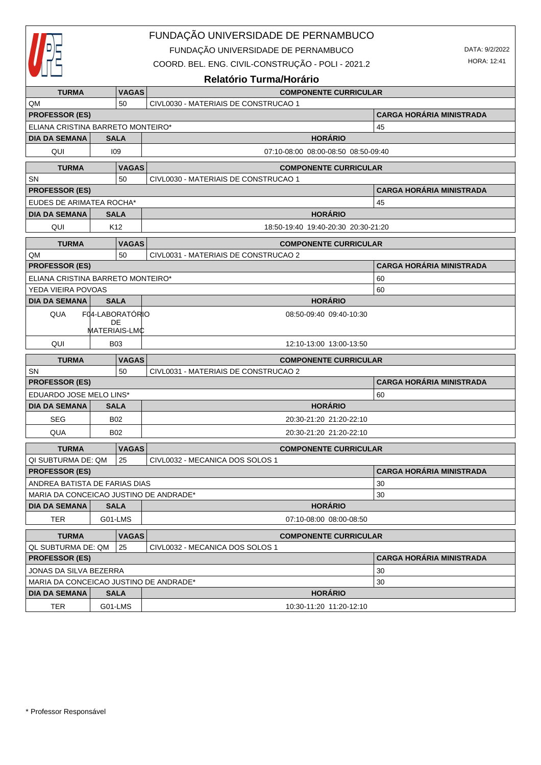

FUNDAÇÃO UNIVERSIDADE DE PERNAMBUCO

COORD. BEL. ENG. CIVIL-CONSTRUÇÃO - POLI - 2021.2

DATA: 9/2/2022 HORA: 12:41

| <b>TURMA</b>                           | <b>VAGAS</b>                               |              | <b>COMPONENTE CURRICULAR</b>         |                                 |  |
|----------------------------------------|--------------------------------------------|--------------|--------------------------------------|---------------------------------|--|
| $\mathsf{QM}$                          | 50<br>CIVL0030 - MATERIAIS DE CONSTRUCAO 1 |              |                                      |                                 |  |
| <b>PROFESSOR (ES)</b>                  |                                            |              |                                      | <b>CARGA HORÁRIA MINISTRADA</b> |  |
| ELIANA CRISTINA BARRETO MONTEIRO*      |                                            |              |                                      | 45                              |  |
| <b>DIA DA SEMANA</b>                   | <b>SALA</b>                                |              | <b>HORÁRIO</b>                       |                                 |  |
| QUI                                    | 109                                        |              | 07:10-08:00 08:00-08:50 08:50-09:40  |                                 |  |
| <b>TURMA</b>                           |                                            | <b>VAGAS</b> | <b>COMPONENTE CURRICULAR</b>         |                                 |  |
| 50<br><b>SN</b>                        |                                            |              | CIVL0030 - MATERIAIS DE CONSTRUCAO 1 |                                 |  |
|                                        | <b>PROFESSOR (ES)</b>                      |              |                                      | <b>CARGA HORÁRIA MINISTRADA</b> |  |
|                                        | EUDES DE ARIMATEA ROCHA*                   |              |                                      | 45                              |  |
| <b>DIA DA SEMANA</b>                   | <b>SALA</b>                                |              | <b>HORÁRIO</b>                       |                                 |  |
| QUI                                    | K <sub>12</sub>                            |              | 18:50-19:40 19:40-20:30 20:30-21:20  |                                 |  |
| <b>TURMA</b>                           |                                            | <b>VAGAS</b> | <b>COMPONENTE CURRICULAR</b>         |                                 |  |
| QM                                     |                                            | 50           | CIVL0031 - MATERIAIS DE CONSTRUCAO 2 |                                 |  |
| <b>PROFESSOR (ES)</b>                  |                                            |              |                                      | <b>CARGA HORÁRIA MINISTRADA</b> |  |
| ELIANA CRISTINA BARRETO MONTEIRO*      |                                            |              |                                      | 60                              |  |
| YEDA VIEIRA POVOAS                     |                                            |              |                                      | 60                              |  |
| <b>DIA DA SEMANA</b>                   | <b>SALA</b>                                |              | <b>HORÁRIO</b>                       |                                 |  |
| <b>QUA</b>                             | F04-LABORATÓRIO                            |              | 08:50-09:40 09:40-10:30              |                                 |  |
|                                        | DE                                         |              |                                      |                                 |  |
|                                        | <b>MATERIAIS-LMC</b>                       |              |                                      |                                 |  |
|                                        | QUI<br><b>B03</b>                          |              | 12:10-13:00 13:00-13:50              |                                 |  |
|                                        |                                            |              |                                      |                                 |  |
| <b>TURMA</b>                           |                                            | <b>VAGAS</b> | <b>COMPONENTE CURRICULAR</b>         |                                 |  |
| <b>SN</b>                              |                                            | 50           | CIVL0031 - MATERIAIS DE CONSTRUCAO 2 |                                 |  |
| <b>PROFESSOR (ES)</b>                  |                                            |              |                                      | <b>CARGA HORÁRIA MINISTRADA</b> |  |
| EDUARDO JOSE MELO LINS*                |                                            |              |                                      | 60                              |  |
| <b>DIA DA SEMANA</b>                   | <b>SALA</b>                                |              | <b>HORÁRIO</b>                       |                                 |  |
| <b>SEG</b>                             | <b>B02</b>                                 |              | 20:30-21:20 21:20-22:10              |                                 |  |
| QUA                                    | <b>B02</b>                                 |              | 20:30-21:20 21:20-22:10              |                                 |  |
| <b>TURMA</b>                           |                                            | <b>VAGAS</b> | <b>COMPONENTE CURRICULAR</b>         |                                 |  |
| QI SUBTURMA DE: QM                     |                                            | 25           | CIVL0032 - MECANICA DOS SOLOS 1      |                                 |  |
| <b>PROFESSOR (ES)</b>                  |                                            |              |                                      | <b>CARGA HORÁRIA MINISTRADA</b> |  |
| ANDREA BATISTA DE FARIAS DIAS          |                                            |              |                                      | 30                              |  |
| MARIA DA CONCEICAO JUSTINO DE ANDRADE* |                                            |              |                                      | 30                              |  |
| <b>DIA DA SEMANA</b>                   | <b>SALA</b>                                |              | <b>HORÁRIO</b>                       |                                 |  |
| TER                                    | G01-LMS                                    |              | 07:10-08:00 08:00-08:50              |                                 |  |
| <b>TURMA</b>                           |                                            | <b>VAGAS</b> | <b>COMPONENTE CURRICULAR</b>         |                                 |  |
| QL SUBTURMA DE: QM                     |                                            | 25           | CIVL0032 - MECANICA DOS SOLOS 1      |                                 |  |
| <b>PROFESSOR (ES)</b>                  |                                            |              |                                      | <b>CARGA HORÁRIA MINISTRADA</b> |  |
| JONAS DA SILVA BEZERRA                 |                                            |              |                                      | 30                              |  |
| MARIA DA CONCEICAO JUSTINO DE ANDRADE* |                                            |              |                                      | 30                              |  |
| <b>DIA DA SEMANA</b>                   | <b>SALA</b>                                |              | <b>HORÁRIO</b>                       |                                 |  |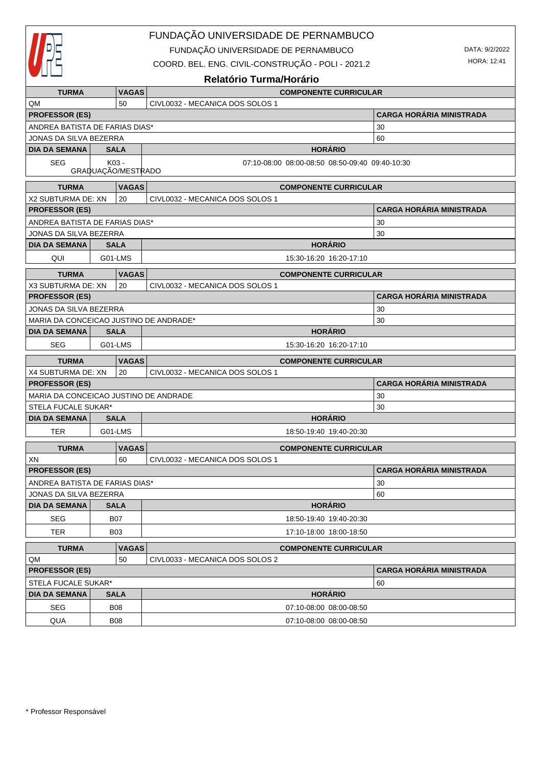

FUNDAÇÃO UNIVERSIDADE DE PERNAMBUCO

COORD. BEL. ENG. CIVIL-CONSTRUÇÃO - POLI - 2021.2

DATA: 9/2/2022 HORA: 12:41

| <b>TURMA</b>                              | <b>VAGAS</b><br><b>COMPONENTE CURRICULAR</b> |              |                                                 |                                 |  |
|-------------------------------------------|----------------------------------------------|--------------|-------------------------------------------------|---------------------------------|--|
| QM                                        |                                              | 50           | CIVL0032 - MECANICA DOS SOLOS 1                 |                                 |  |
| <b>PROFESSOR (ES)</b>                     |                                              |              |                                                 | <b>CARGA HORÁRIA MINISTRADA</b> |  |
| ANDREA BATISTA DE FARIAS DIAS*            |                                              |              |                                                 | 30                              |  |
| JONAS DA SILVA BEZERRA                    |                                              |              |                                                 | 60                              |  |
| <b>DIA DA SEMANA</b><br><b>SALA</b>       |                                              |              | <b>HORÁRIO</b>                                  |                                 |  |
| K03 -<br><b>SEG</b><br>GRADUAÇÃO/MESTRADO |                                              |              | 07:10-08:00 08:00-08:50 08:50-09:40 09:40-10:30 |                                 |  |
| <b>TURMA</b>                              | <b>VAGAS</b>                                 |              | <b>COMPONENTE CURRICULAR</b>                    |                                 |  |
| X2 SUBTURMA DE: XN                        |                                              | 20           | CIVL0032 - MECANICA DOS SOLOS 1                 |                                 |  |
| <b>PROFESSOR (ES)</b>                     |                                              |              |                                                 | <b>CARGA HORÁRIA MINISTRADA</b> |  |
| ANDREA BATISTA DE FARIAS DIAS*            |                                              |              |                                                 | 30                              |  |
| JONAS DA SILVA BEZERRA                    |                                              |              |                                                 | 30                              |  |
| <b>DIA DA SEMANA</b>                      |                                              | <b>SALA</b>  | <b>HORÁRIO</b>                                  |                                 |  |
| QUI                                       |                                              | G01-LMS      | 15:30-16:20 16:20-17:10                         |                                 |  |
| <b>TURMA</b>                              |                                              | <b>VAGAS</b> | <b>COMPONENTE CURRICULAR</b>                    |                                 |  |
| X3 SUBTURMA DE: XN                        |                                              | 20           | CIVL0032 - MECANICA DOS SOLOS 1                 |                                 |  |
| <b>PROFESSOR (ES)</b>                     |                                              |              |                                                 | <b>CARGA HORÁRIA MINISTRADA</b> |  |
| JONAS DA SILVA BEZERRA                    |                                              |              |                                                 | 30                              |  |
| MARIA DA CONCEICAO JUSTINO DE ANDRADE*    |                                              |              |                                                 | 30                              |  |
| <b>DIA DA SEMANA</b>                      | <b>SALA</b>                                  |              | <b>HORÁRIO</b>                                  |                                 |  |
| <b>SEG</b>                                |                                              | G01-LMS      | 15:30-16:20 16:20-17:10                         |                                 |  |
|                                           |                                              |              | <b>COMPONENTE CURRICULAR</b>                    |                                 |  |
| <b>TURMA</b>                              |                                              | <b>VAGAS</b> |                                                 |                                 |  |
| X4 SUBTURMA DE: XN                        |                                              | 20           | CIVL0032 - MECANICA DOS SOLOS 1                 |                                 |  |
| <b>PROFESSOR (ES)</b>                     |                                              |              |                                                 | <b>CARGA HORÁRIA MINISTRADA</b> |  |
| MARIA DA CONCEICAO JUSTINO DE ANDRADE     |                                              |              |                                                 | 30                              |  |
| STELA FUCALE SUKAR*                       |                                              |              |                                                 | 30                              |  |
| <b>DIA DA SEMANA</b>                      |                                              | <b>SALA</b>  | <b>HORÁRIO</b>                                  |                                 |  |
| <b>TER</b>                                |                                              | G01-LMS      | 18:50-19:40 19:40-20:30                         |                                 |  |
| <b>TURMA</b>                              |                                              | <b>VAGAS</b> | <b>COMPONENTE CURRICULAR</b>                    |                                 |  |
| XN                                        |                                              | 60           | CIVL0032 - MECANICA DOS SOLOS 1                 |                                 |  |
| <b>PROFESSOR (ES)</b>                     |                                              |              |                                                 | <b>CARGA HORÁRIA MINISTRADA</b> |  |
| ANDREA BATISTA DE FARIAS DIAS*            |                                              |              |                                                 | 30                              |  |
| JONAS DA SILVA BEZERRA                    |                                              |              |                                                 | 60                              |  |
| <b>DIA DA SEMANA</b>                      |                                              | <b>SALA</b>  | <b>HORÁRIO</b>                                  |                                 |  |
| <b>SEG</b>                                |                                              | <b>B07</b>   | 18:50-19:40 19:40-20:30                         |                                 |  |
| TER                                       |                                              | <b>B03</b>   | 17:10-18:00 18:00-18:50                         |                                 |  |
| <b>TURMA</b>                              |                                              | <b>VAGAS</b> | <b>COMPONENTE CURRICULAR</b>                    |                                 |  |
| QM                                        |                                              | 50           | CIVL0033 - MECANICA DOS SOLOS 2                 |                                 |  |
| <b>PROFESSOR (ES)</b>                     |                                              |              |                                                 | <b>CARGA HORÁRIA MINISTRADA</b> |  |
| STELA FUCALE SUKAR*                       |                                              |              |                                                 | 60                              |  |
| <b>DIA DA SEMANA</b>                      |                                              | <b>SALA</b>  | <b>HORÁRIO</b>                                  |                                 |  |
| SEG                                       |                                              | <b>B08</b>   | 07:10-08:00 08:00-08:50                         |                                 |  |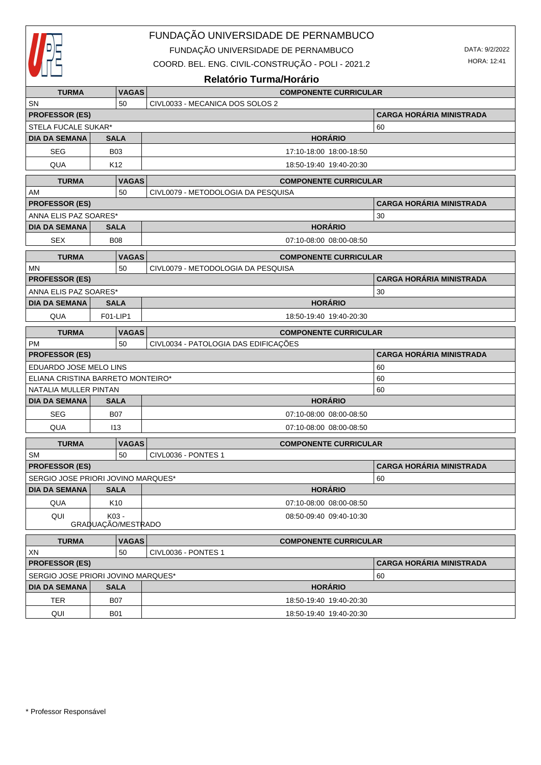

FUNDAÇÃO UNIVERSIDADE DE PERNAMBUCO

COORD. BEL. ENG. CIVIL-CONSTRUÇÃO - POLI - 2021.2

DATA: 9/2/2022 HORA: 12:41

| <b>TURMA</b>                        |                 | <b>VAGAS</b>       | <b>COMPONENTE CURRICULAR</b>         |                                 |  |
|-------------------------------------|-----------------|--------------------|--------------------------------------|---------------------------------|--|
| <b>SN</b>                           |                 | 50                 | CIVL0033 - MECANICA DOS SOLOS 2      |                                 |  |
| <b>PROFESSOR (ES)</b>               |                 |                    |                                      | <b>CARGA HORÁRIA MINISTRADA</b> |  |
| <b>STELA FUCALE SUKAR*</b>          |                 |                    |                                      | 60                              |  |
| <b>DIA DA SEMANA</b><br><b>SALA</b> |                 |                    | <b>HORÁRIO</b>                       |                                 |  |
| <b>SEG</b><br><b>B03</b>            |                 |                    | 17:10-18:00 18:00-18:50              |                                 |  |
| QUA                                 | K12             |                    | 18:50-19:40 19:40-20:30              |                                 |  |
| <b>TURMA</b>                        |                 | <b>VAGAS</b>       | <b>COMPONENTE CURRICULAR</b>         |                                 |  |
| AM                                  |                 | 50                 | CIVL0079 - METODOLOGIA DA PESQUISA   |                                 |  |
| <b>PROFESSOR (ES)</b>               |                 |                    |                                      | <b>CARGA HORÁRIA MINISTRADA</b> |  |
| ANNA ELIS PAZ SOARES*               |                 |                    |                                      | 30                              |  |
| <b>DIA DA SEMANA</b>                | <b>SALA</b>     |                    | <b>HORÁRIO</b>                       |                                 |  |
| <b>SEX</b>                          | <b>B08</b>      |                    | 07:10-08:00 08:00-08:50              |                                 |  |
| <b>TURMA</b>                        |                 | <b>VAGAS</b>       | <b>COMPONENTE CURRICULAR</b>         |                                 |  |
| <b>MN</b>                           |                 | 50                 | CIVL0079 - METODOLOGIA DA PESQUISA   |                                 |  |
| <b>PROFESSOR (ES)</b>               |                 |                    |                                      | <b>CARGA HORÁRIA MINISTRADA</b> |  |
| ANNA ELIS PAZ SOARES*               |                 |                    |                                      | 30                              |  |
| <b>DIA DA SEMANA</b>                | <b>SALA</b>     |                    | <b>HORÁRIO</b>                       |                                 |  |
| QUA                                 | F01-LIP1        |                    | 18:50-19:40 19:40-20:30              |                                 |  |
| <b>TURMA</b>                        |                 | <b>VAGAS</b>       | <b>COMPONENTE CURRICULAR</b>         |                                 |  |
| <b>PM</b>                           |                 | 50                 | CIVL0034 - PATOLOGIA DAS EDIFICAÇÕES |                                 |  |
| <b>PROFESSOR (ES)</b>               |                 |                    |                                      | <b>CARGA HORÁRIA MINISTRADA</b> |  |
| EDUARDO JOSE MELO LINS              |                 |                    |                                      | 60                              |  |
| ELIANA CRISTINA BARRETO MONTEIRO*   |                 |                    |                                      | 60                              |  |
| NATALIA MULLER PINTAN               |                 |                    |                                      | 60                              |  |
| <b>DIA DA SEMANA</b>                | <b>SALA</b>     |                    | <b>HORÁRIO</b>                       |                                 |  |
| <b>SEG</b>                          | <b>B07</b>      |                    | 07:10-08:00 08:00-08:50              |                                 |  |
| QUA                                 | 113             |                    | 07:10-08:00 08:00-08:50              |                                 |  |
| <b>TURMA</b>                        |                 | <b>VAGAS</b>       | <b>COMPONENTE CURRICULAR</b>         |                                 |  |
| <b>SM</b>                           |                 | 50                 | CIVL0036 - PONTES 1                  |                                 |  |
| <b>PROFESSOR (ES)</b>               |                 |                    |                                      | <b>CARGA HORÁRIA MINISTRADA</b> |  |
| SERGIO JOSE PRIORI JOVINO MARQUES*  |                 |                    |                                      | 60                              |  |
| <b>DIA DA SEMANA</b>                | <b>SALA</b>     |                    | <b>HORÁRIO</b>                       |                                 |  |
| QUA                                 | K <sub>10</sub> |                    | 07:10-08:00 08:00-08:50              |                                 |  |
| QUI                                 | K03 -           | GRADUAÇÃO/MESTRADO | 08:50-09:40 09:40-10:30              |                                 |  |
| <b>TURMA</b>                        |                 | <b>VAGAS</b>       | <b>COMPONENTE CURRICULAR</b>         |                                 |  |
| XN                                  |                 | 50                 | CIVL0036 - PONTES 1                  |                                 |  |
| <b>PROFESSOR (ES)</b>               |                 |                    |                                      | <b>CARGA HORÁRIA MINISTRADA</b> |  |
| SERGIO JOSE PRIORI JOVINO MARQUES*  |                 |                    |                                      | 60                              |  |
| <b>DIA DA SEMANA</b>                | <b>SALA</b>     |                    | <b>HORÁRIO</b>                       |                                 |  |
| <b>TER</b>                          | <b>B07</b>      |                    | 18:50-19:40 19:40-20:30              |                                 |  |
| QUI                                 | <b>B01</b>      |                    | 18:50-19:40 19:40-20:30              |                                 |  |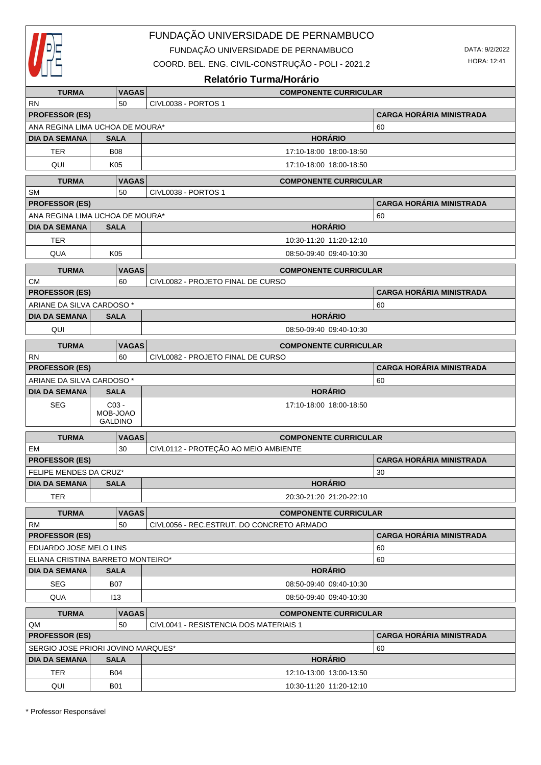

FUNDAÇÃO UNIVERSIDADE DE PERNAMBUCO

COORD. BEL. ENG. CIVIL-CONSTRUÇÃO - POLI - 2021.2

DATA: 9/2/2022 HORA: 12:41

| <b>TURMA</b>                       |                                                                        | <b>VAGAS</b>        | <b>COMPONENTE CURRICULAR</b>              |                                 |  |  |  |
|------------------------------------|------------------------------------------------------------------------|---------------------|-------------------------------------------|---------------------------------|--|--|--|
| <b>RN</b>                          |                                                                        | 50                  | CIVL0038 - PORTOS 1                       |                                 |  |  |  |
| <b>PROFESSOR (ES)</b>              |                                                                        |                     |                                           | <b>CARGA HORÁRIA MINISTRADA</b> |  |  |  |
| ANA REGINA LIMA UCHOA DE MOURA*    |                                                                        |                     |                                           | 60                              |  |  |  |
| <b>DIA DA SEMANA</b>               |                                                                        | <b>SALA</b>         | <b>HORÁRIO</b>                            |                                 |  |  |  |
| TER                                |                                                                        | <b>B08</b>          | 17:10-18:00 18:00-18:50                   |                                 |  |  |  |
| QUI<br>K05                         |                                                                        |                     | 17:10-18:00 18:00-18:50                   |                                 |  |  |  |
|                                    |                                                                        |                     |                                           |                                 |  |  |  |
| <b>TURMA</b><br><b>VAGAS</b>       |                                                                        |                     | CIVL0038 - PORTOS 1                       | <b>COMPONENTE CURRICULAR</b>    |  |  |  |
| <b>SM</b><br>50                    |                                                                        |                     |                                           | <b>CARGA HORÁRIA MINISTRADA</b> |  |  |  |
|                                    | <b>PROFESSOR (ES)</b>                                                  |                     |                                           |                                 |  |  |  |
|                                    | ANA REGINA LIMA UCHOA DE MOURA*<br><b>DIA DA SEMANA</b><br><b>SALA</b> |                     | <b>HORÁRIO</b>                            | 60                              |  |  |  |
|                                    |                                                                        |                     |                                           |                                 |  |  |  |
| <b>TER</b>                         |                                                                        |                     | 10:30-11:20 11:20-12:10                   |                                 |  |  |  |
| QUA                                |                                                                        | K05                 | 08:50-09:40 09:40-10:30                   |                                 |  |  |  |
| <b>TURMA</b>                       |                                                                        | <b>VAGAS</b>        | <b>COMPONENTE CURRICULAR</b>              |                                 |  |  |  |
| <b>CM</b>                          |                                                                        | 60                  | CIVL0082 - PROJETO FINAL DE CURSO         |                                 |  |  |  |
| <b>PROFESSOR (ES)</b>              |                                                                        |                     |                                           | <b>CARGA HORÁRIA MINISTRADA</b> |  |  |  |
| ARIANE DA SILVA CARDOSO*           |                                                                        |                     |                                           | 60                              |  |  |  |
| <b>DIA DA SEMANA</b>               |                                                                        | <b>SALA</b>         | <b>HORÁRIO</b>                            |                                 |  |  |  |
| QUI                                |                                                                        |                     | 08:50-09:40 09:40-10:30                   |                                 |  |  |  |
|                                    |                                                                        |                     |                                           |                                 |  |  |  |
| <b>TURMA</b>                       |                                                                        | <b>VAGAS</b>        | <b>COMPONENTE CURRICULAR</b>              |                                 |  |  |  |
| <b>RN</b>                          |                                                                        | 60                  | CIVL0082 - PROJETO FINAL DE CURSO         |                                 |  |  |  |
| <b>PROFESSOR (ES)</b>              |                                                                        |                     |                                           | <b>CARGA HORÁRIA MINISTRADA</b> |  |  |  |
| ARIANE DA SILVA CARDOSO*           |                                                                        |                     |                                           | 60                              |  |  |  |
| <b>DIA DA SEMANA</b>               |                                                                        | <b>SALA</b>         | <b>HORÁRIO</b>                            |                                 |  |  |  |
| <b>SEG</b>                         |                                                                        | $CO3$ -<br>MOB-JOAO | 17:10-18:00 18:00-18:50                   |                                 |  |  |  |
|                                    |                                                                        | <b>GALDINO</b>      |                                           |                                 |  |  |  |
| <b>TURMA</b>                       |                                                                        | <b>VAGAS</b>        | <b>COMPONENTE CURRICULAR</b>              |                                 |  |  |  |
| EM                                 |                                                                        | 30                  | CIVL0112 - PROTEÇÃO AO MEIO AMBIENTE      |                                 |  |  |  |
| <b>PROFESSOR (ES)</b>              |                                                                        |                     |                                           | <b>CARGA HORÁRIA MINISTRADA</b> |  |  |  |
| FELIPE MENDES DA CRUZ*             |                                                                        |                     |                                           | 30                              |  |  |  |
| <b>DIA DA SEMANA</b>               |                                                                        | <b>SALA</b>         | <b>HORÁRIO</b>                            |                                 |  |  |  |
| <b>TER</b>                         |                                                                        |                     | 20:30-21:20 21:20-22:10                   |                                 |  |  |  |
|                                    |                                                                        |                     |                                           |                                 |  |  |  |
| <b>TURMA</b>                       |                                                                        | <b>VAGAS</b>        | <b>COMPONENTE CURRICULAR</b>              |                                 |  |  |  |
| <b>RM</b>                          |                                                                        | 50                  | CIVL0056 - REC.ESTRUT. DO CONCRETO ARMADO |                                 |  |  |  |
| <b>PROFESSOR (ES)</b>              |                                                                        |                     |                                           | <b>CARGA HORÁRIA MINISTRADA</b> |  |  |  |
| EDUARDO JOSE MELO LINS             |                                                                        |                     |                                           | 60                              |  |  |  |
| ELIANA CRISTINA BARRETO MONTEIRO*  |                                                                        |                     |                                           | 60                              |  |  |  |
| <b>DIA DA SEMANA</b>               |                                                                        | <b>SALA</b>         | <b>HORÁRIO</b>                            |                                 |  |  |  |
| <b>SEG</b>                         |                                                                        | <b>B07</b>          | 08:50-09:40 09:40-10:30                   |                                 |  |  |  |
| QUA                                |                                                                        | 113                 | 08:50-09:40 09:40-10:30                   |                                 |  |  |  |
| <b>TURMA</b>                       |                                                                        | <b>VAGAS</b>        | <b>COMPONENTE CURRICULAR</b>              |                                 |  |  |  |
| QM                                 |                                                                        | 50                  | CIVL0041 - RESISTENCIA DOS MATERIAIS 1    |                                 |  |  |  |
| <b>PROFESSOR (ES)</b>              |                                                                        |                     |                                           | <b>CARGA HORÁRIA MINISTRADA</b> |  |  |  |
| SERGIO JOSE PRIORI JOVINO MARQUES* |                                                                        |                     |                                           | 60                              |  |  |  |
| <b>DIA DA SEMANA</b>               |                                                                        | <b>SALA</b>         | <b>HORÁRIO</b>                            |                                 |  |  |  |
| TER                                |                                                                        | <b>B04</b>          | 12:10-13:00 13:00-13:50                   |                                 |  |  |  |
| QUI                                |                                                                        | <b>B01</b>          | 10:30-11:20 11:20-12:10                   |                                 |  |  |  |
|                                    |                                                                        |                     |                                           |                                 |  |  |  |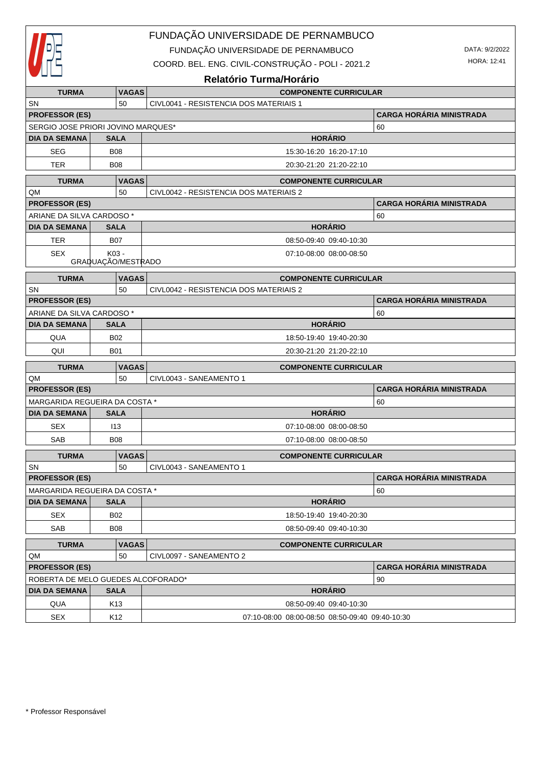

FUNDAÇÃO UNIVERSIDADE DE PERNAMBUCO

COORD. BEL. ENG. CIVIL-CONSTRUÇÃO - POLI - 2021.2

DATA: 9/2/2022 HORA: 12:41

| <b>TURMA</b>                       |                             | <b>VAGAS</b> | <b>COMPONENTE CURRICULAR</b>                                               |                                 |  |
|------------------------------------|-----------------------------|--------------|----------------------------------------------------------------------------|---------------------------------|--|
| SΝ                                 |                             | 50           | CIVL0041 - RESISTENCIA DOS MATERIAIS 1                                     |                                 |  |
| <b>PROFESSOR (ES)</b>              |                             |              |                                                                            | <b>CARGA HORÁRIA MINISTRADA</b> |  |
| SERGIO JOSE PRIORI JOVINO MARQUES* |                             |              |                                                                            | 60                              |  |
| <b>DIA DA SEMANA</b>               | <b>SALA</b>                 |              | <b>HORÁRIO</b>                                                             |                                 |  |
| <b>SEG</b>                         | <b>B08</b>                  |              | 15:30-16:20 16:20-17:10                                                    |                                 |  |
| <b>TER</b>                         | <b>B08</b>                  |              | 20:30-21:20 21:20-22:10                                                    |                                 |  |
| <b>TURMA</b>                       | <b>VAGAS</b>                |              | <b>COMPONENTE CURRICULAR</b>                                               |                                 |  |
| QM                                 |                             | 50           | CIVL0042 - RESISTENCIA DOS MATERIAIS 2                                     |                                 |  |
| <b>PROFESSOR (ES)</b>              |                             |              |                                                                            | <b>CARGA HORÁRIA MINISTRADA</b> |  |
| ARIANE DA SILVA CARDOSO*           |                             |              |                                                                            | 60                              |  |
| <b>DIA DA SEMANA</b>               | <b>SALA</b>                 |              | <b>HORÁRIO</b>                                                             |                                 |  |
| <b>TER</b>                         | <b>B07</b>                  |              | 08:50-09:40 09:40-10:30                                                    |                                 |  |
| <b>SEX</b>                         | K03 -<br>GRADUAÇÃO/MESTRADO |              | 07:10-08:00 08:00-08:50                                                    |                                 |  |
| <b>TURMA</b>                       |                             | <b>VAGAS</b> | <b>COMPONENTE CURRICULAR</b>                                               |                                 |  |
| SΝ                                 |                             | 50           | CIVL0042 - RESISTENCIA DOS MATERIAIS 2                                     |                                 |  |
| <b>PROFESSOR (ES)</b>              |                             |              |                                                                            | <b>CARGA HORÁRIA MINISTRADA</b> |  |
| ARIANE DA SILVA CARDOSO*           |                             |              |                                                                            | 60                              |  |
| <b>DIA DA SEMANA</b>               |                             | <b>SALA</b>  | <b>HORÁRIO</b>                                                             |                                 |  |
| QUA                                |                             | <b>B02</b>   | 18:50-19:40 19:40-20:30                                                    |                                 |  |
| QUI                                | <b>B01</b>                  |              | 20:30-21:20 21:20-22:10                                                    |                                 |  |
|                                    |                             |              |                                                                            |                                 |  |
| <b>TURMA</b>                       |                             | <b>VAGAS</b> | <b>COMPONENTE CURRICULAR</b>                                               |                                 |  |
| QM                                 |                             | 50           | CIVL0043 - SANEAMENTO 1                                                    |                                 |  |
| <b>PROFESSOR (ES)</b>              |                             |              |                                                                            | <b>CARGA HORÁRIA MINISTRADA</b> |  |
| MARGARIDA REGUEIRA DA COSTA *      |                             |              |                                                                            | 60                              |  |
| <b>DIA DA SEMANA</b>               | <b>SALA</b>                 |              | <b>HORÁRIO</b>                                                             |                                 |  |
| <b>SEX</b>                         | 113                         |              | 07:10-08:00 08:00-08:50                                                    |                                 |  |
| <b>SAB</b>                         | <b>B08</b>                  |              | 07:10-08:00 08:00-08:50                                                    |                                 |  |
| <b>TURMA</b>                       |                             | <b>VAGAS</b> | <b>COMPONENTE CURRICULAR</b>                                               |                                 |  |
| <b>SN</b>                          |                             | 50           | CIVL0043 - SANEAMENTO 1                                                    |                                 |  |
| <b>PROFESSOR (ES)</b>              |                             |              |                                                                            | <b>CARGA HORÁRIA MINISTRADA</b> |  |
| MARGARIDA REGUEIRA DA COSTA *      |                             |              |                                                                            | 60                              |  |
| <b>DIA DA SEMANA</b>               | <b>SALA</b>                 |              | <b>HORÁRIO</b>                                                             |                                 |  |
| <b>SEX</b>                         |                             | <b>B02</b>   | 18:50-19:40 19:40-20:30                                                    |                                 |  |
| SAB                                |                             | <b>B08</b>   | 08:50-09:40 09:40-10:30                                                    |                                 |  |
| <b>TURMA</b>                       |                             | <b>VAGAS</b> | <b>COMPONENTE CURRICULAR</b>                                               |                                 |  |
| QM                                 |                             | 50           | CIVL0097 - SANEAMENTO 2                                                    |                                 |  |
| <b>PROFESSOR (ES)</b>              |                             |              |                                                                            | <b>CARGA HORÁRIA MINISTRADA</b> |  |
| ROBERTA DE MELO GUEDES ALCOFORADO* |                             |              |                                                                            | 90                              |  |
| <b>DIA DA SEMANA</b>               |                             | <b>SALA</b>  | <b>HORÁRIO</b>                                                             |                                 |  |
| QUA<br><b>SEX</b>                  |                             | K13<br>K12   | 08:50-09:40 09:40-10:30<br>07:10-08:00 08:00-08:50 08:50-09:40 09:40-10:30 |                                 |  |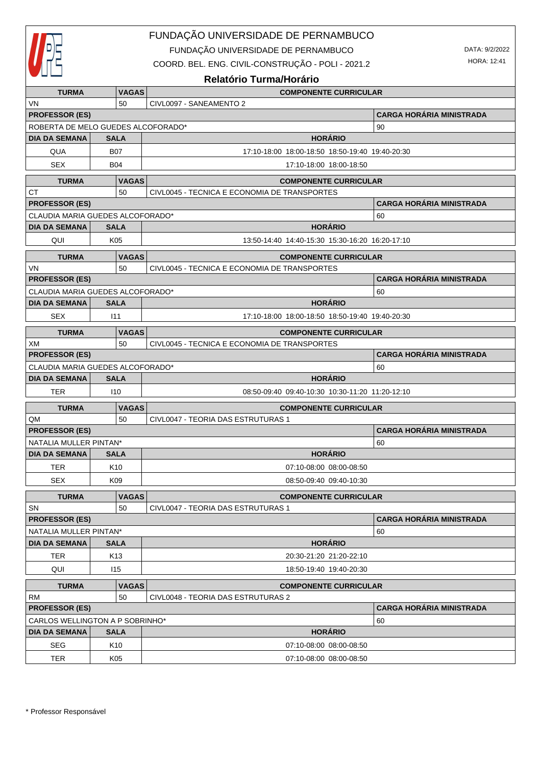

FUNDAÇÃO UNIVERSIDADE DE PERNAMBUCO

COORD. BEL. ENG. CIVIL-CONSTRUÇÃO - POLI - 2021.2

DATA: 9/2/2022 HORA: 12:41

| <b>TURMA</b>                                                           |                                                          | <b>VAGAS</b>    | <b>COMPONENTE CURRICULAR</b>                    |                                 |  |  |
|------------------------------------------------------------------------|----------------------------------------------------------|-----------------|-------------------------------------------------|---------------------------------|--|--|
| 50<br>VN                                                               |                                                          |                 | CIVL0097 - SANEAMENTO 2                         |                                 |  |  |
| <b>PROFESSOR (ES)</b>                                                  |                                                          |                 |                                                 | <b>CARGA HORÁRIA MINISTRADA</b> |  |  |
| ROBERTA DE MELO GUEDES ALCOFORADO*                                     |                                                          |                 |                                                 | 90                              |  |  |
| <b>DIA DA SEMANA</b>                                                   |                                                          | <b>SALA</b>     | <b>HORÁRIO</b>                                  |                                 |  |  |
| QUA                                                                    |                                                          | <b>B07</b>      | 17:10-18:00 18:00-18:50 18:50-19:40 19:40-20:30 |                                 |  |  |
|                                                                        | <b>SEX</b><br><b>B04</b>                                 |                 | 17:10-18:00 18:00-18:50                         |                                 |  |  |
| <b>TURMA</b>                                                           | <b>VAGAS</b>                                             |                 | <b>COMPONENTE CURRICULAR</b>                    |                                 |  |  |
| <b>CT</b>                                                              |                                                          | 50              | CIVL0045 - TECNICA E ECONOMIA DE TRANSPORTES    |                                 |  |  |
| <b>PROFESSOR (ES)</b>                                                  |                                                          |                 |                                                 | <b>CARGA HORÁRIA MINISTRADA</b> |  |  |
| CLAUDIA MARIA GUEDES ALCOFORADO*                                       |                                                          |                 |                                                 | 60                              |  |  |
| <b>DIA DA SEMANA</b>                                                   |                                                          | <b>SALA</b>     | <b>HORÁRIO</b>                                  |                                 |  |  |
| QUI                                                                    |                                                          | K05             | 13:50-14:40 14:40-15:30 15:30-16:20 16:20-17:10 |                                 |  |  |
| <b>TURMA</b>                                                           |                                                          | <b>VAGAS</b>    | <b>COMPONENTE CURRICULAR</b>                    |                                 |  |  |
| VN                                                                     |                                                          | 50              | CIVL0045 - TECNICA E ECONOMIA DE TRANSPORTES    |                                 |  |  |
| <b>PROFESSOR (ES)</b>                                                  |                                                          |                 |                                                 | <b>CARGA HORÁRIA MINISTRADA</b> |  |  |
| CLAUDIA MARIA GUEDES ALCOFORADO*                                       |                                                          |                 | <b>HORÁRIO</b>                                  | 60                              |  |  |
| <b>DIA DA SEMANA</b>                                                   |                                                          | <b>SALA</b>     |                                                 |                                 |  |  |
| <b>SEX</b>                                                             |                                                          | 111             | 17:10-18:00 18:00-18:50 18:50-19:40 19:40-20:30 |                                 |  |  |
| <b>TURMA</b>                                                           |                                                          | <b>VAGAS</b>    | <b>COMPONENTE CURRICULAR</b>                    |                                 |  |  |
| XM                                                                     |                                                          | 50              | CIVL0045 - TECNICA E ECONOMIA DE TRANSPORTES    |                                 |  |  |
| <b>PROFESSOR (ES)</b>                                                  |                                                          |                 |                                                 | <b>CARGA HORÁRIA MINISTRADA</b> |  |  |
| CLAUDIA MARIA GUEDES ALCOFORADO*                                       |                                                          |                 |                                                 | 60                              |  |  |
| <b>DIA DA SEMANA</b>                                                   | <b>SALA</b>                                              |                 | <b>HORÁRIO</b>                                  |                                 |  |  |
| TER                                                                    |                                                          | 110             | 08:50-09:40 09:40-10:30 10:30-11:20 11:20-12:10 |                                 |  |  |
| <b>TURMA</b>                                                           |                                                          | <b>VAGAS</b>    | <b>COMPONENTE CURRICULAR</b>                    |                                 |  |  |
| QM                                                                     |                                                          | 50              | CIVL0047 - TEORIA DAS ESTRUTURAS 1              | <b>CARGA HORÁRIA MINISTRADA</b> |  |  |
| <b>PROFESSOR (ES)</b>                                                  |                                                          |                 |                                                 |                                 |  |  |
| NATALIA MULLER PINTAN*<br><b>DIA DA SEMANA</b>                         |                                                          | <b>SALA</b>     | 60<br><b>HORÁRIO</b>                            |                                 |  |  |
| TER                                                                    |                                                          | K <sub>10</sub> | 07:10-08:00 08:00-08:50                         |                                 |  |  |
| <b>SEX</b>                                                             |                                                          | K09             | 08:50-09:40 09:40-10:30                         |                                 |  |  |
|                                                                        |                                                          |                 |                                                 |                                 |  |  |
| <b>TURMA</b>                                                           |                                                          | <b>VAGAS</b>    | <b>COMPONENTE CURRICULAR</b>                    |                                 |  |  |
| <b>SN</b>                                                              |                                                          | 50              | CIVL0047 - TEORIA DAS ESTRUTURAS 1              | <b>CARGA HORÁRIA MINISTRADA</b> |  |  |
| <b>PROFESSOR (ES)</b>                                                  |                                                          |                 |                                                 |                                 |  |  |
| NATALIA MULLER PINTAN*<br><b>DIA DA SEMANA</b><br><b>SALA</b>          |                                                          |                 | <b>HORÁRIO</b>                                  | 60                              |  |  |
| <b>TER</b>                                                             |                                                          | K13             | 20:30-21:20 21:20-22:10                         |                                 |  |  |
|                                                                        |                                                          |                 |                                                 |                                 |  |  |
| QUI                                                                    |                                                          | 115             | 18:50-19:40 19:40-20:30                         |                                 |  |  |
| <b>TURMA</b>                                                           |                                                          | <b>VAGAS</b>    | <b>COMPONENTE CURRICULAR</b>                    |                                 |  |  |
| <b>RM</b><br>50                                                        |                                                          |                 | CIVL0048 - TEORIA DAS ESTRUTURAS 2              |                                 |  |  |
|                                                                        | <b>CARGA HORÁRIA MINISTRADA</b><br><b>PROFESSOR (ES)</b> |                 |                                                 |                                 |  |  |
| CARLOS WELLINGTON A P SOBRINHO*<br><b>DIA DA SEMANA</b><br><b>SALA</b> |                                                          |                 | 60<br><b>HORÁRIO</b>                            |                                 |  |  |
|                                                                        |                                                          |                 |                                                 |                                 |  |  |
|                                                                        | <b>SEG</b><br>K <sub>10</sub>                            |                 | 07:10-08:00 08:00-08:50                         |                                 |  |  |
| TER<br>K05                                                             |                                                          |                 | 07:10-08:00 08:00-08:50                         |                                 |  |  |